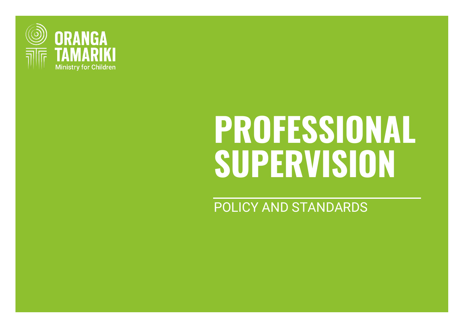

# **PROFESSIONAL SUPERVISION**

POLICY AND STANDARDS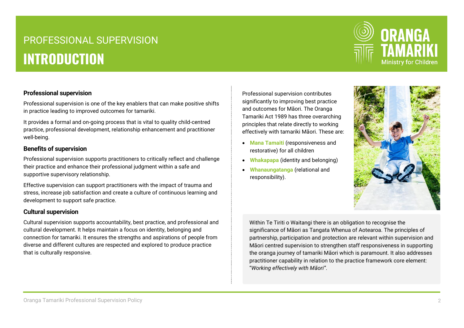# PROFESSIONAL SUPERVISION **INTRODUCTION**



#### **Professional supervision**

Professional supervision is one of the key enablers that can make positive shifts in practice leading to improved outcomes for tamariki.

It provides a formal and on-going process that is vital to quality child-centred practice, professional development, relationship enhancement and practitioner well-being.

#### **Benefits of supervision**

Professional supervision supports practitioners to critically reflect and challenge their practice and enhance their professional judgment within a safe and supportive supervisory relationship.

Effective supervision can support practitioners with the impact of trauma and stress, increase job satisfaction and create a culture of continuous learning and development to support safe practice.

#### **Cultural supervision**

Cultural supervision supports accountability, best practice, and professional and cultural development. It helps maintain a focus on identity, belonging and connection for tamariki. It ensures the strengths and aspirations of people from diverse and different cultures are respected and explored to produce practice that is culturally responsive.

Professional supervision contributes significantly to improving best practice and outcomes for Māori. The Oranga Tamariki Act 1989 has three overarching principles that relate directly to working effectively with tamariki Māori. These are:

- **Mana Tamaiti** (responsiveness and restorative) for all children
- **Whakapapa** (identity and belonging)
- **Whanaungatanga** (relational and responsibility).



Within Te Tiriti o Waitangi there is an obligation to recognise the significance of Māori as Tangata Whenua of Aotearoa. The principles of partnership, participation and protection are relevant within supervision and Māori centred supervision to strengthen staff responsiveness in supporting the oranga journey of tamariki Māori which is paramount. It also addresses practitioner capability in relation to the practice framework core element: "*Working effectively with Māori"*.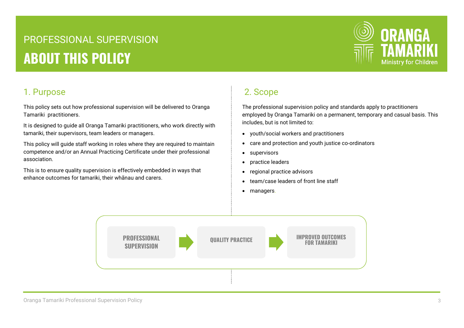# PROFESSIONAL SUPERVISION **ABOUT THIS POLICY**



### 1. Purpose

This policy sets out how professional supervision will be delivered to Oranga Tamariki practitioners.

It is designed to guide all Oranga Tamariki practitioners, who work directly with tamariki, their supervisors, team leaders or managers.

This policy will guide staff working in roles where they are required to maintain competence and/or an Annual Practicing Certificate under their professional association.

This is to ensure quality supervision is effectively embedded in ways that enhance outcomes for tamariki, their whānau and carers.

# 2. Scope

The professional supervision policy and standards apply to practitioners employed by Oranga Tamariki on a permanent, temporary and casual basis. This includes, but is not limited to:

- youth/social workers and practitioners
- care and protection and youth justice co-ordinators
- supervisors
- practice leaders
- regional practice advisors
- team/case leaders of front line staff
- managers.

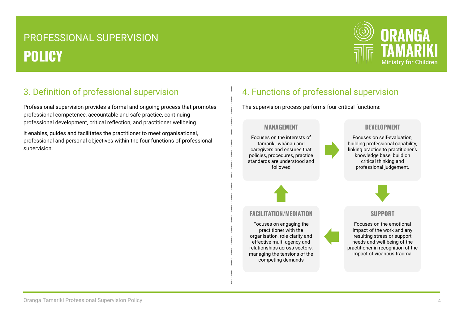

## 3. Definition of professional supervision

Professional supervision provides a formal and ongoing process that promotes professional competence, accountable and safe practice, continuing professional development, critical reflection, and practitioner wellbeing.

It enables, guides and facilitates the practitioner to meet organisational, professional and personal objectives within the four functions of professional supervision.

# 4. Functions of professional supervision

The supervision process performs four critical functions:

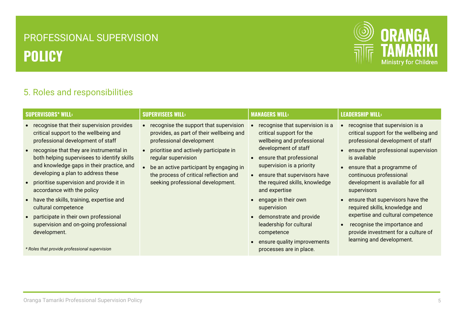

### 5. Roles and responsibilities

| <b>SUPERVISORS* WILL:</b>                                                                                                                                                                                                                                                                                                                                                                                                                                                                                                                                                                                | <b>SUPERVISEES WILL:</b>                                                                                                                                                                                                                                                                                  | <b>MANAGERS WILL:</b>                                                                                                                                                                                                                                                                                                                                                                                                             | <b>LEADERSHIP WILL:</b>                                                                                                                                                                                                                                                                                                                                                                                                                                                                           |
|----------------------------------------------------------------------------------------------------------------------------------------------------------------------------------------------------------------------------------------------------------------------------------------------------------------------------------------------------------------------------------------------------------------------------------------------------------------------------------------------------------------------------------------------------------------------------------------------------------|-----------------------------------------------------------------------------------------------------------------------------------------------------------------------------------------------------------------------------------------------------------------------------------------------------------|-----------------------------------------------------------------------------------------------------------------------------------------------------------------------------------------------------------------------------------------------------------------------------------------------------------------------------------------------------------------------------------------------------------------------------------|---------------------------------------------------------------------------------------------------------------------------------------------------------------------------------------------------------------------------------------------------------------------------------------------------------------------------------------------------------------------------------------------------------------------------------------------------------------------------------------------------|
| recognise that their supervision provides<br>critical support to the wellbeing and<br>professional development of staff<br>recognise that they are instrumental in<br>both helping supervisees to identify skills<br>and knowledge gaps in their practice, and<br>developing a plan to address these<br>prioritise supervision and provide it in<br>accordance with the policy<br>• have the skills, training, expertise and<br>cultural competence<br>• participate in their own professional<br>supervision and on-going professional<br>development.<br>* Roles that provide professional supervision | recognise the support that supervision<br>provides, as part of their wellbeing and<br>professional development<br>prioritise and actively participate in<br>regular supervision<br>be an active participant by engaging in<br>the process of critical reflection and<br>seeking professional development. | recognise that supervision is a<br>critical support for the<br>wellbeing and professional<br>development of staff<br>ensure that professional<br>supervision is a priority<br>ensure that supervisors have<br>the required skills, knowledge<br>and expertise<br>engage in their own<br>supervision<br>demonstrate and provide<br>leadership for cultural<br>competence<br>ensure quality improvements<br>processes are in place. | recognise that supervision is a<br>critical support for the wellbeing and<br>professional development of staff<br>ensure that professional supervision<br>is available<br>ensure that a programme of<br>continuous professional<br>development is available for all<br>supervisors<br>ensure that supervisors have the<br>required skills, knowledge and<br>expertise and cultural competence<br>recognise the importance and<br>provide investment for a culture of<br>learning and development. |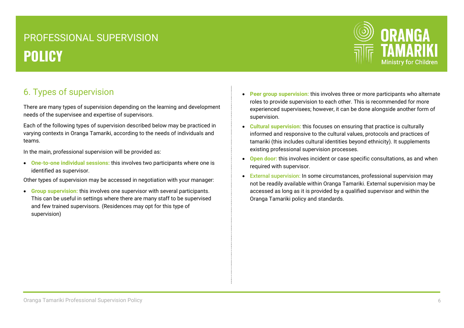

# 6. Types of supervision

There are many types of supervision depending on the learning and development needs of the supervisee and expertise of supervisors.

Each of the following types of supervision described below may be practiced in varying contexts in Oranga Tamariki, according to the needs of individuals and teams.

In the main, professional supervision will be provided as:

 **One-to-one individual sessions:** this involves two participants where one is identified as supervisor.

Other types of supervision may be accessed in negotiation with your manager:

 **Group supervision:** this involves one supervisor with several participants. This can be useful in settings where there are many staff to be supervised and few trained supervisors. (Residences may opt for this type of supervision)

- **Peer group supervision:** this involves three or more participants who alternate roles to provide supervision to each other. This is recommended for more experienced supervisees; however, it can be done alongside another form of supervision.
- **Cultural supervision:** this focuses on ensuring that practice is culturally informed and responsive to the cultural values, protocols and practices of tamariki (this includes cultural identities beyond ethnicity). It supplements existing professional supervision processes.
- **Open door:** this involves incident or case specific consultations, as and when required with supervisor.
- External supervision: In some circumstances, professional supervision may not be readily available within Oranga Tamariki. External supervision may be accessed as long as it is provided by a qualified supervisor and within the Oranga Tamariki policy and standards.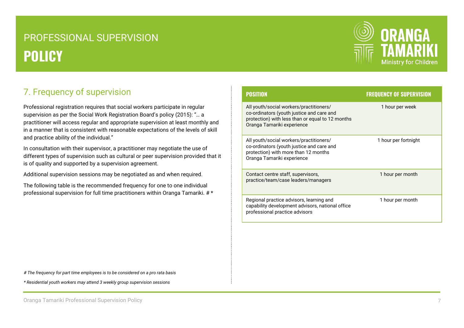

# 7. Frequency of supervision

Professional registration requires that social workers participate in regular supervision as per the Social Work Registration Board's policy (2015): "… a practitioner will access regular and appropriate supervision at least monthly and in a manner that is consistent with reasonable expectations of the levels of skill and practice ability of the individual."

In consultation with their supervisor, a practitioner may negotiate the use of different types of supervision such as cultural or peer supervision provided that it is of quality and supported by a supervision agreement.

Additional supervision sessions may be negotiated as and when required.

The following table is the recommended frequency for one to one individual professional supervision for full time practitioners within Oranga Tamariki. # \*

| <b>POSITION</b>                                                                                                                                                        | <b>FREQUENCY OF SUPERVISION</b> |
|------------------------------------------------------------------------------------------------------------------------------------------------------------------------|---------------------------------|
| All youth/social workers/practitioners/<br>co-ordinators (youth justice and care and<br>protection) with less than or equal to 12 months<br>Oranga Tamariki experience | 1 hour per week                 |
| All youth/social workers/practitioners/<br>co-ordinators (youth justice and care and<br>protection) with more than 12 months<br>Oranga Tamariki experience             | 1 hour per fortnight            |
| Contact centre staff, supervisors,<br>practice/team/case leaders/managers                                                                                              | 1 hour per month                |
| Regional practice advisors, learning and<br>capability development advisors, national office<br>professional practice advisors                                         | 1 hour per month                |

*# The frequency for part time employees is to be considered on a pro rata basis*

*\* Residential youth workers may attend 3 weekly group supervision sessions*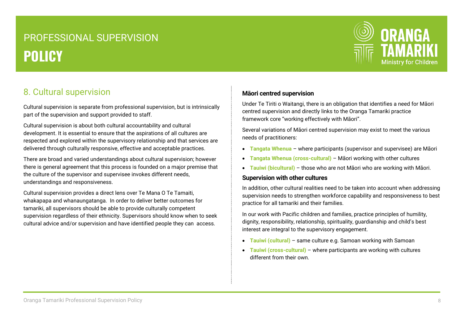

### 8. Cultural supervision

Cultural supervision is separate from professional supervision, but is intrinsically part of the supervision and support provided to staff.

Cultural supervision is about both cultural accountability and cultural development. It is essential to ensure that the aspirations of all cultures are respected and explored within the supervisory relationship and that services are delivered through culturally responsive, effective and acceptable practices.

There are broad and varied understandings about cultural supervision; however there is general agreement that this process is founded on a major premise that the culture of the supervisor and supervisee invokes different needs, understandings and responsiveness.

Cultural supervision provides a direct lens over Te Mana O Te Tamaiti, whakapapa and whanaungatanga. In order to deliver better outcomes for tamariki, all supervisors should be able to provide culturally competent supervision regardless of their ethnicity. Supervisors should know when to seek cultural advice and/or supervision and have identified people they can access.

#### **Māori centred supervision**

Under Te Tiriti o Waitangi, there is an obligation that identifies a need for Māori centred supervision and directly links to the Oranga Tamariki practice framework core "working effectively with Māori".

Several variations of Māori centred supervision may exist to meet the various needs of practitioners:

- **Tangata Whenua** where participants (supervisor and supervisee) are Māori
- **Tangata Whenua (cross-cultural)** Māori working with other cultures
- **Tauiwi (bicultural)** those who are not Māori who are working with Māori.

#### **Supervision with other cultures**

In addition, other cultural realities need to be taken into account when addressing supervision needs to strengthen workforce capability and responsiveness to best practice for all tamariki and their families.

In our work with Pacific children and families, practice principles of humility, dignity, responsibility, relationship, spirituality, guardianship and child's best interest are integral to the supervisory engagement.

- **Tauiwi (cultural)** same culture e.g. Samoan working with Samoan
- **Tauiwi (cross-cultural)** where participants are working with cultures different from their own.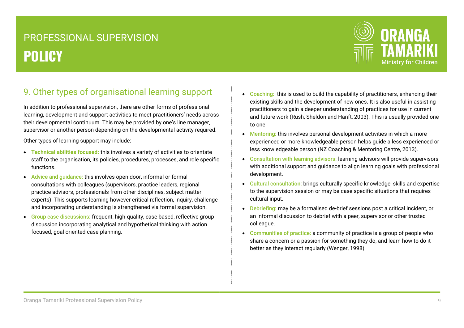

# 9. Other types of organisational learning support

In addition to professional supervision, there are other forms of professional learning, development and support activities to meet practitioners' needs across their developmental continuum. This may be provided by one's line manager, supervisor or another person depending on the developmental activity required.

Other types of learning support may include:

- **Technical abilities focused:** this involves a variety of activities to orientate staff to the organisation, its policies, procedures, processes, and role specific functions.
- Advice and guidance: this involves open door, informal or formal consultations with colleagues (supervisors, practice leaders, regional practice advisors, professionals from other disciplines, subject matter experts). This supports learning however critical reflection, inquiry, challenge and incorporating understanding is strengthened via formal supervision.
- Group case discussions: frequent, high-quality, case based, reflective group discussion incorporating analytical and hypothetical thinking with action focused, goal oriented case planning.
- Coaching: this is used to build the capability of practitioners, enhancing their existing skills and the development of new ones. It is also useful in assisting practitioners to gain a deeper understanding of practices for use in current and future work (Rush, Sheldon and Hanft, 2003). This is usually provided one to one.
- Mentoring: this involves personal development activities in which a more experienced or more knowledgeable person helps guide a less experienced or less knowledgeable person (NZ Coaching & Mentoring Centre, 2013).
- Consultation with learning advisors: learning advisors will provide supervisors with additional support and guidance to align learning goals with professional development.
- Cultural consultation: brings culturally specific knowledge, skills and expertise to the supervision session or may be case specific situations that requires cultural input.
- Debriefing: may be a formalised de-brief sessions post a critical incident, or an informal discussion to debrief with a peer, supervisor or other trusted colleague.
- Communities of practice: a community of practice is a group of people who share a concern or a passion for something they do, and learn how to do it better as they interact regularly (Wenger, 1998)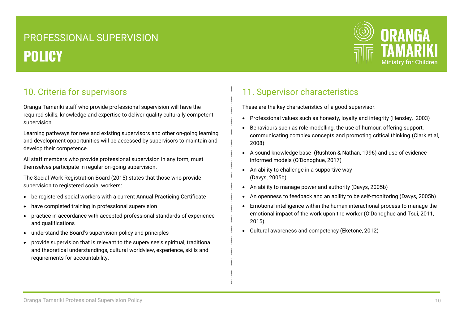

### 10. Criteria for supervisors

Oranga Tamariki staff who provide professional supervision will have the required skills, knowledge and expertise to deliver quality culturally competent supervision.

Learning pathways for new and existing supervisors and other on-going learning and development opportunities will be accessed by supervisors to maintain and develop their competence.

All staff members who provide professional supervision in any form, must themselves participate in regular on-going supervision.

The Social Work Registration Board (2015) states that those who provide supervision to registered social workers:

- be registered social workers with a current Annual Practicing Certificate
- have completed training in professional supervision
- practice in accordance with accepted professional standards of experience and qualifications
- understand the Board's supervision policy and principles
- provide supervision that is relevant to the supervisee's spiritual, traditional and theoretical understandings, cultural worldview, experience, skills and requirements for accountability.

## 11. Supervisor characteristics

These are the key characteristics of a good supervisor:

- Professional values such as honesty, loyalty and integrity (Hensley, 2003)
- Behaviours such as role modelling, the use of humour, offering support, communicating complex concepts and promoting critical thinking (Clark et al, 2008)
- A sound knowledge base (Rushton & Nathan, 1996) and use of evidence informed models (O'Donoghue, 2017)
- An ability to challenge in a supportive way (Davys, 2005b)
- An ability to manage power and authority (Davys, 2005b)
- An openness to feedback and an ability to be self-monitoring (Davys, 2005b)
- Emotional intelligence within the human interactional process to manage the emotional impact of the work upon the worker (O'Donoghue and Tsui, 2011, 2015).
- Cultural awareness and competency (Eketone, 2012)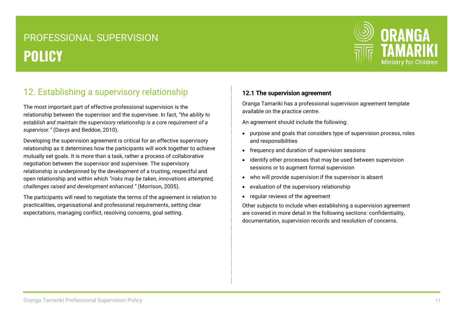

# 12. Establishing a supervisory relationship

The most important part of effective professional supervision is the relationship between the supervisor and the supervisee. In fact, *"the ability to establish and maintain the supervisory relationship is a core requirement of a supervisor."* (Davys and Beddoe, 2010).

Developing the supervision agreement is critical for an effective supervisory relationship as it determines how the participants will work together to achieve mutually set goals. It is more than a task, rather a process of collaborative negotiation between the supervisor and supervisee. The supervisory relationship is underpinned by the development of a trusting, respectful and open relationship and within which *"risks may be taken, innovations attempted, challenges raised and development enhanced."* (Morrison, 2005).

The participants will need to negotiate the terms of the agreement in relation to practicalities, organisational and professional requirements, setting clear expectations, managing conflict, resolving concerns, goal setting.

#### **12.1 The supervision agreement**

Oranga Tamariki has a professional supervision agreement template available on the practice centre.

An agreement should include the following:

- purpose and goals that considers type of supervision process, roles and responsibilities
- frequency and duration of supervision sessions
- identify other processes that may be used between supervision sessions or to augment formal supervision
- who will provide supervision if the supervisor is absent
- evaluation of the supervisory relationship
- regular reviews of the agreement

Other subjects to include when establishing a supervision agreement are covered in more detail in the following sections: confidentiality, documentation, supervision records and resolution of concerns.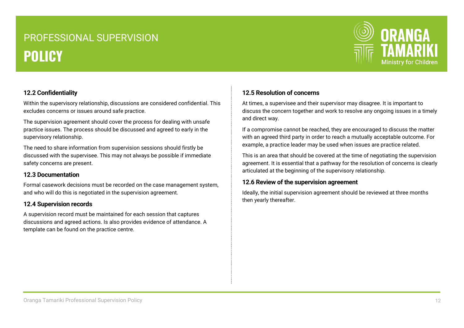

#### **12.2 Confidentiality**

Within the supervisory relationship, discussions are considered confidential. This excludes concerns or issues around safe practice.

The supervision agreement should cover the process for dealing with unsafe practice issues. The process should be discussed and agreed to early in the supervisory relationship.

The need to share information from supervision sessions should firstly be discussed with the supervisee. This may not always be possible if immediate safety concerns are present.

#### **12.3 Documentation**

Formal casework decisions must be recorded on the case management system, and who will do this is negotiated in the supervision agreement.

#### **12.4 Supervision records**

A supervision record must be maintained for each session that captures discussions and agreed actions. Is also provides evidence of attendance. A template can be found on the practice centre.

#### **12.5 Resolution of concerns**

At times, a supervisee and their supervisor may disagree. It is important to discuss the concern together and work to resolve any ongoing issues in a timely and direct way.

If a compromise cannot be reached, they are encouraged to discuss the matter with an agreed third party in order to reach a mutually acceptable outcome. For example, a practice leader may be used when issues are practice related.

This is an area that should be covered at the time of negotiating the supervision agreement. It is essential that a pathway for the resolution of concerns is clearly articulated at the beginning of the supervisory relationship.

#### **12.6 Review of the supervision agreement**

Ideally, the initial supervision agreement should be reviewed at three months then yearly thereafter.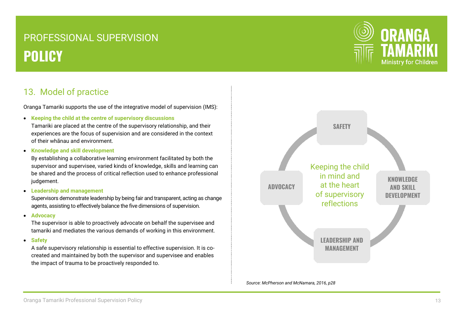### 13. Model of practice

Oranga Tamariki supports the use of the integrative model of supervision (IMS):

**Keeping the child at the centre of supervisory discussions**

Tamariki are placed at the centre of the supervisory relationship, and their experiences are the focus of supervision and are considered in the context of their whānau and environment.

**Knowledge and skill development**

By establishing a collaborative learning environment facilitated by both the supervisor and supervisee, varied kinds of knowledge, skills and learning can be shared and the process of critical reflection used to enhance professional judgement.

**Leadership and management**

Supervisors demonstrate leadership by being fair and transparent, acting as change agents, assisting to effectively balance the five dimensions of supervision.

**Advocacy**

The supervisor is able to proactively advocate on behalf the supervisee and tamariki and mediates the various demands of working in this environment.

**Safety** 

A safe supervisory relationship is essential to effective supervision. It is cocreated and maintained by both the supervisor and supervisee and enables the impact of trauma to be proactively responded to.





*Source: McPherson and McNamara, 2016, p28*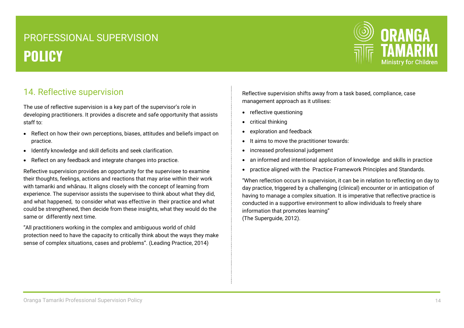

### 14. Reflective supervision

The use of reflective supervision is a key part of the supervisor's role in developing practitioners. It provides a discrete and safe opportunity that assists staff to:

- Reflect on how their own perceptions, biases, attitudes and beliefs impact on practice.
- Identify knowledge and skill deficits and seek clarification.
- Reflect on any feedback and integrate changes into practice.

Reflective supervision provides an opportunity for the supervisee to examine their thoughts, feelings, actions and reactions that may arise within their work with tamariki and whānau. It aligns closely with the concept of learning from experience. The supervisor assists the supervisee to think about what they did, and what happened, to consider what was effective in their practice and what could be strengthened, then decide from these insights, what they would do the same or differently next time.

"All practitioners working in the complex and ambiguous world of child protection need to have the capacity to critically think about the ways they make sense of complex situations, cases and problems". (Leading Practice, 2014)

Reflective supervision shifts away from a task based, compliance, case management approach as it utilises:

- reflective questioning
- critical thinking
- exploration and feedback
- It aims to move the practitioner towards:
- increased professional judgement
- an informed and intentional application of knowledge and skills in practice
- practice aligned with the Practice Framework Principles and Standards.

"When reflection occurs in supervision, it can be in relation to reflecting on day to day practice, triggered by a challenging (clinical) encounter or in anticipation of having to manage a complex situation. It is imperative that reflective practice is conducted in a supportive environment to allow individuals to freely share information that promotes learning" (The Superguide, 2012).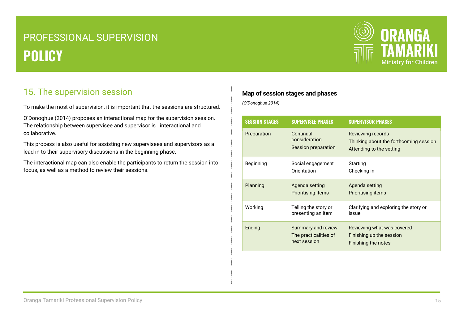

### 15. The supervision session

To make the most of supervision, it is important that the sessions are structured.

O'Donoghue (2014) proposes an interactional map for the supervision session. The relationship between supervisee and supervisor is interactional and collaborative.

This process is also useful for assisting new supervisees and supervisors as a lead in to their supervisory discussions in the beginning phase.

The interactional map can also enable the participants to return the session into focus, as well as a method to review their sessions.

#### **Map of session stages and phases**

*(O'Donoghue 2014)*

| <b>SESSION STAGES</b> | <b>SUPERVISEE PHASES</b>                                    | <b>SUPERVISOR PHASES</b>                                                                |
|-----------------------|-------------------------------------------------------------|-----------------------------------------------------------------------------------------|
| Preparation           | Continual<br>consideration<br>Session preparation           | Reviewing records<br>Thinking about the forthcoming session<br>Attending to the setting |
| Beginning             | Social engagement<br>Orientation                            | Starting<br>Checking-in                                                                 |
| Planning              | Agenda setting<br><b>Prioritising items</b>                 | Agenda setting<br><b>Prioritising items</b>                                             |
| Working               | Telling the story or<br>presenting an item                  | Clarifying and exploring the story or<br>issue                                          |
| Ending                | Summary and review<br>The practicalities of<br>next session | Reviewing what was covered<br>Finishing up the session<br>Finishing the notes           |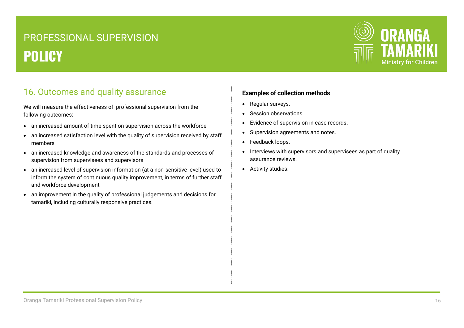

### 16. Outcomes and quality assurance

We will measure the effectiveness of professional supervision from the following outcomes:

- an increased amount of time spent on supervision across the workforce
- an increased satisfaction level with the quality of supervision received by staff members
- an increased knowledge and awareness of the standards and processes of supervision from supervisees and supervisors
- an increased level of supervision information (at a non-sensitive level) used to inform the system of continuous quality improvement, in terms of further staff and workforce development
- an improvement in the quality of professional judgements and decisions for tamariki, including culturally responsive practices.

#### **Examples of collection methods**

- Regular surveys.
- Session observations.
- Evidence of supervision in case records.
- Supervision agreements and notes.
- Feedback loops.
- Interviews with supervisors and supervisees as part of quality assurance reviews.
- Activity studies.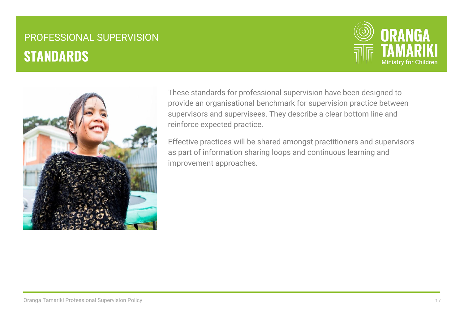# PROFESSIONAL SUPERVISION **STANDARDS**





These standards for professional supervision have been designed to provide an organisational benchmark for supervision practice between supervisors and supervisees. They describe a clear bottom line and reinforce expected practice.

Effective practices will be shared amongst practitioners and supervisors as part of information sharing loops and continuous learning and improvement approaches.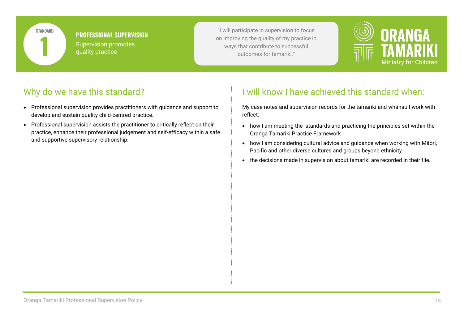

#### **PROFESSIONAL SUPERVISION**

Supervision promotes quality practice

"I will participate in supervision to focus on improving the quality of my practice in Supervision promotes<br>
quality practice<br>
quality practice<br>
quality practice<br>  $\frac{1}{2}$ <br>  $\frac{1}{2}$ <br>  $\frac{1}{2}$ <br>  $\frac{1}{2}$ <br>  $\frac{1}{2}$ <br>  $\frac{1}{2}$ <br>  $\frac{1}{2}$ <br>  $\frac{1}{2}$ <br>  $\frac{1}{2}$ <br>  $\frac{1}{2}$ <br>  $\frac{1}{2}$ <br>  $\frac{1}{2}$ <br>  $\frac{1}{2}$ <br>  $\frac$ 



### Why do we have this standard?

- Professional supervision provides practitioners with guidance and support to develop and sustain quality child-centred practice.
- Professional supervision assists the practitioner to critically reflect on their practice, enhance their professional judgement and self-efficacy within a safe and supportive supervisory relationship.

## I will know I have achieved this standard when:

My case notes and supervision records for the tamariki and whānau I work with reflect:

- how I am meeting the standards and practicing the principles set within the Oranga Tamariki Practice Framework
- how I am considering cultural advice and guidance when working with Māori, Pacific and other diverse cultures and groups beyond ethnicity
- the decisions made in supervision about tamariki are recorded in their file.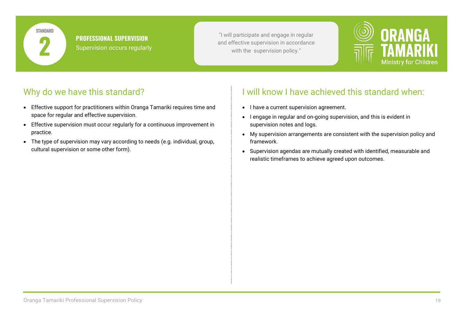**STANDARD** 

**PROFESSIONAL SUPERVISION** Supervision occurs regularly

"I will participate and engage in regular **PRUFESSIUNAL SUPERVISIUN**<br> **2** Supervision occurs regularly and effective supervision in accordance<br>
with the supervision policy."



# Why do we have this standard?

- Effective support for practitioners within Oranga Tamariki requires time and space for regular and effective supervision.
- Effective supervision must occur regularly for a continuous improvement in practice.
- The type of supervision may vary according to needs (e.g. individual, group, cultural supervision or some other form).

- I have a current supervision agreement.
- I engage in regular and on-going supervision, and this is evident in supervision notes and logs.
- My supervision arrangements are consistent with the supervision policy and framework.
- Supervision agendas are mutually created with identified, measurable and realistic timeframes to achieve agreed upon outcomes.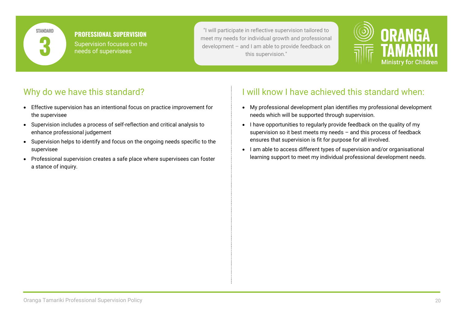

#### **PROFESSIONAL SUPERVISION**

Supervision focuses on the needs of supervisees

"I will participate in reflective supervision tailored to meet my needs for individual growth and professional development – and I am able to provide feedback on **3** this supervision."



### Why do we have this standard?

- Effective supervision has an intentional focus on practice improvement for the supervisee
- Supervision includes a process of self-reflection and critical analysis to enhance professional judgement
- Supervision helps to identify and focus on the ongoing needs specific to the supervisee
- Professional supervision creates a safe place where supervisees can foster a stance of inquiry.

- My professional development plan identifies my professional development needs which will be supported through supervision.
- I have opportunities to regularly provide feedback on the quality of my supervision so it best meets my needs – and this process of feedback ensures that supervision is fit for purpose for all involved.
- I am able to access different types of supervision and/or organisational learning support to meet my individual professional development needs.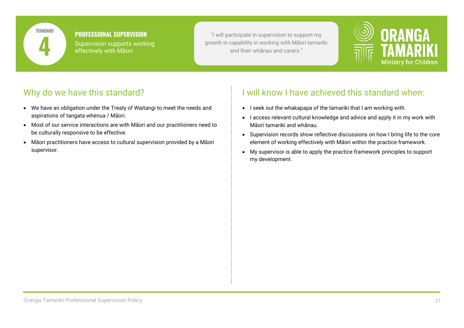

# **PROFESSIONAL SUPERVISION**

Supervision supports working effectively with Māori

"I will participate in supervision to support my growth in capability in working with Māori tamariki **4** and their whānau and carers."



### Why do we have this standard?

- We have an obligation under the Treaty of Waitangi to meet the needs and aspirations of tangata whenua / Māori.
- Most of our service interactions are with Māori and our practitioners need to be culturally responsive to be effective.
- Māori practitioners have access to cultural supervision provided by a Māori supervisor.

- I seek out the whakapapa of the tamariki that I am working with.
- I access relevant cultural knowledge and advice and apply it in my work with Māori tamariki and whānau.
- Supervision records show reflective discussions on how I bring life to the core element of working effectively with Māori within the practice framework.
- My supervisor is able to apply the practice framework principles to support my development.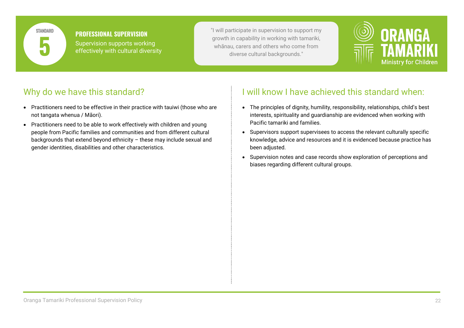

#### **PROFESSIONAL SUPERVISION** Supervision supports working

effectively with cultural diversity

"I will participate in supervision to support my growth in capability in working with tamariki, Supervision supports working<br>
effectively with cultural diversity<br>
The state of the state of the state of the state of the state of the state of the state of the state of the state of the state of the state of the state of



# Why do we have this standard?

- Practitioners need to be effective in their practice with tauiwi (those who are not tangata whenua / Māori).
- Practitioners need to be able to work effectively with children and young people from Pacific families and communities and from different cultural backgrounds that extend beyond ethnicity – these may include sexual and gender identities, disabilities and other characteristics.

- The principles of dignity, humility, responsibility, relationships, child's best interests, spirituality and guardianship are evidenced when working with Pacific tamariki and families.
- Supervisors support supervisees to access the relevant culturally specific knowledge, advice and resources and it is evidenced because practice has been adjusted.
- Supervision notes and case records show exploration of perceptions and biases regarding different cultural groups.